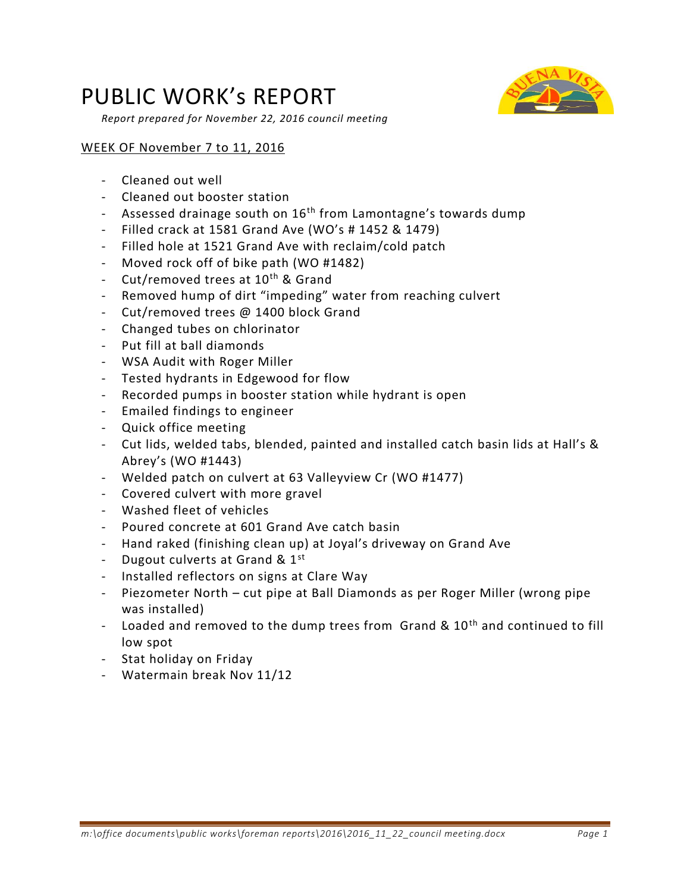## PUBLIC WORK's REPORT

*Report prepared for November 22, 2016 council meeting* 

## WEEK OF November 7 to 11, 2016

- Cleaned out well
- Cleaned out booster station
- Assessed drainage south on 16<sup>th</sup> from Lamontagne's towards dump
- Filled crack at 1581 Grand Ave (WO's # 1452 & 1479)
- Filled hole at 1521 Grand Ave with reclaim/cold patch
- Moved rock off of bike path (WO #1482)
- Cut/removed trees at 10<sup>th</sup> & Grand
- Removed hump of dirt "impeding" water from reaching culvert
- Cut/removed trees @ 1400 block Grand
- Changed tubes on chlorinator
- Put fill at ball diamonds
- WSA Audit with Roger Miller
- Tested hydrants in Edgewood for flow
- Recorded pumps in booster station while hydrant is open
- Emailed findings to engineer
- Quick office meeting
- Cut lids, welded tabs, blended, painted and installed catch basin lids at Hall's & Abrey's (WO #1443)
- Welded patch on culvert at 63 Valleyview Cr (WO #1477)
- Covered culvert with more gravel
- Washed fleet of vehicles
- Poured concrete at 601 Grand Ave catch basin
- Hand raked (finishing clean up) at Joyal's driveway on Grand Ave
- Dugout culverts at Grand &  $1<sup>st</sup>$
- Installed reflectors on signs at Clare Way
- Piezometer North cut pipe at Ball Diamonds as per Roger Miller (wrong pipe was installed)
- Loaded and removed to the dump trees from Grand &  $10<sup>th</sup>$  and continued to fill low spot
- Stat holiday on Friday
- Watermain break Nov 11/12